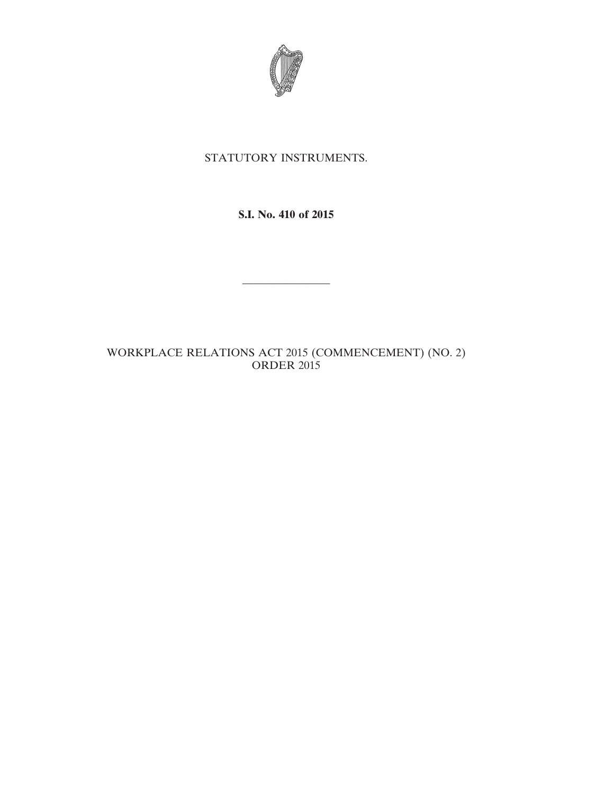

# STATUTORY INSTRUMENTS.

## **S.I. No. 410 of 2015**

————————

## WORKPLACE RELATIONS ACT 2015 (COMMENCEMENT) (NO. 2) ORDER 2015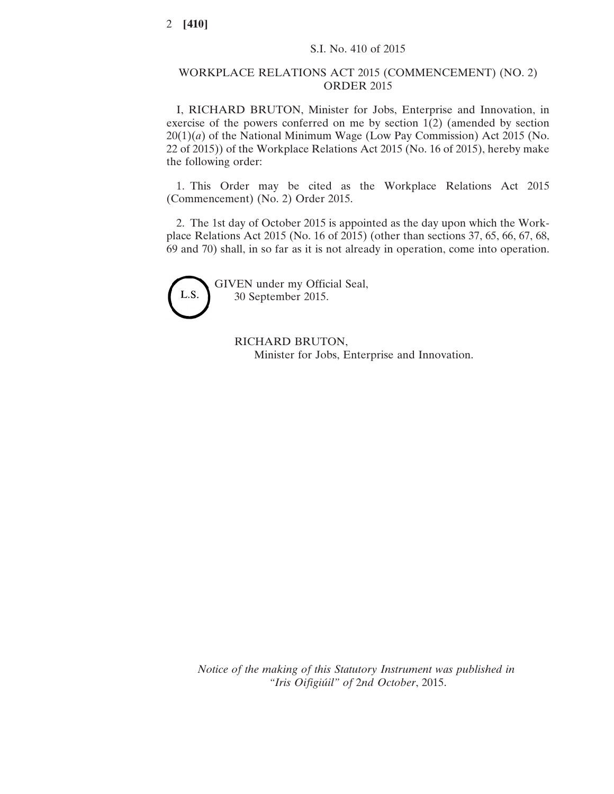#### WORKPLACE RELATIONS ACT 2015 (COMMENCEMENT) (NO. 2) ORDER 2015

I, RICHARD BRUTON, Minister for Jobs, Enterprise and Innovation, in exercise of the powers conferred on me by section 1(2) (amended by section 20(1)(*a*) of the National Minimum Wage (Low Pay Commission) Act 2015 (No. 22 of 2015)) of the Workplace Relations Act 2015 (No. 16 of 2015), hereby make the following order:

1. This Order may be cited as the Workplace Relations Act 2015 (Commencement) (No. 2) Order 2015.

2. The 1st day of October 2015 is appointed as the day upon which the Workplace Relations Act 2015 (No. 16 of 2015) (other than sections 37, 65, 66, 67, 68, 69 and 70) shall, in so far as it is not already in operation, come into operation.



GIVEN under my Official Seal, 30 September 2015.

> RICHARD BRUTON, Minister for Jobs, Enterprise and Innovation.

*Notice of the making of this Statutory Instrument was published in "Iris Oifigiúil" of* 2*nd October*, 2015.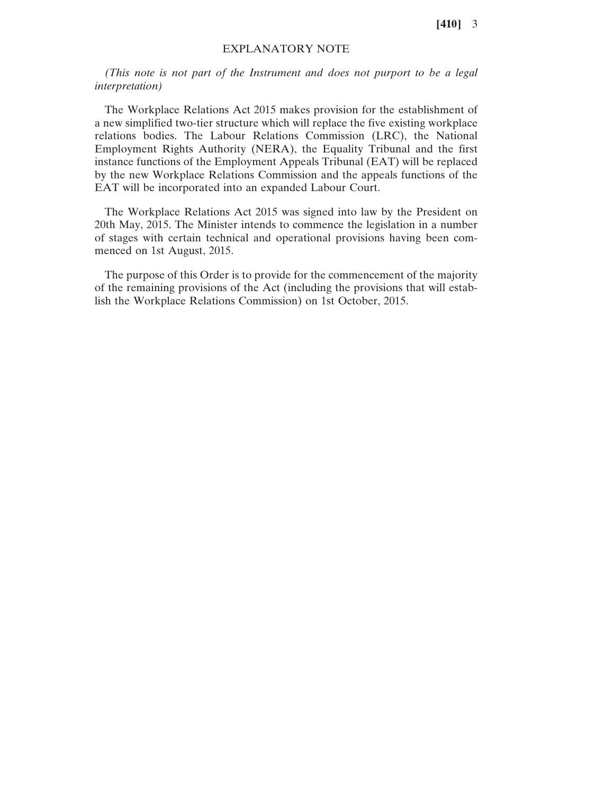**[410]** 3

#### EXPLANATORY NOTE

*(This note is not part of the Instrument and does not purport to be a legal interpretation)*

The Workplace Relations Act 2015 makes provision for the establishment of a new simplified two-tier structure which will replace the five existing workplace relations bodies. The Labour Relations Commission (LRC), the National Employment Rights Authority (NERA), the Equality Tribunal and the first instance functions of the Employment Appeals Tribunal (EAT) will be replaced by the new Workplace Relations Commission and the appeals functions of the EAT will be incorporated into an expanded Labour Court.

The Workplace Relations Act 2015 was signed into law by the President on 20th May, 2015. The Minister intends to commence the legislation in a number of stages with certain technical and operational provisions having been commenced on 1st August, 2015.

The purpose of this Order is to provide for the commencement of the majority of the remaining provisions of the Act (including the provisions that will establish the Workplace Relations Commission) on 1st October, 2015.